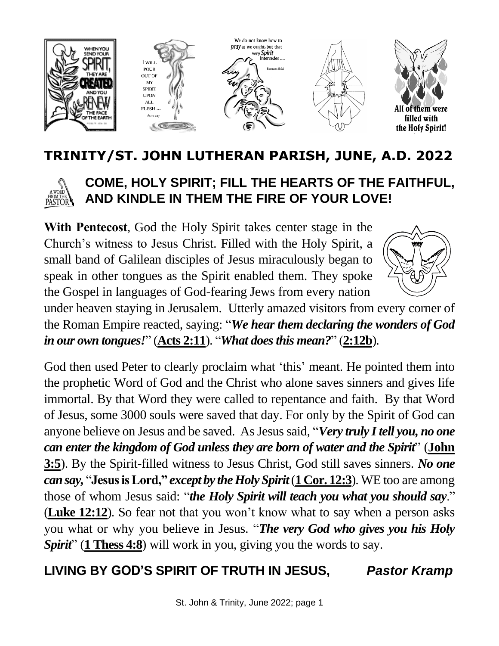

## **TRINITY/ST. JOHN LUTHERAN PARISH, JUNE, A.D. 2022**



## **COME, HOLY SPIRIT; FILL THE HEARTS OF THE FAITHFUL, AND KINDLE IN THEM THE FIRE OF YOUR LOVE!**

**With Pentecost**, God the Holy Spirit takes center stage in the Church's witness to Jesus Christ. Filled with the Holy Spirit, a small band of Galilean disciples of Jesus miraculously began to speak in other tongues as the Spirit enabled them. They spoke the Gospel in languages of God-fearing Jews from every nation



under heaven staying in Jerusalem. Utterly amazed visitors from every corner of the Roman Empire reacted, saying: "*We hear them declaring the wonders of God in our own tongues!*" (**Acts 2:11**). "*What doesthis mean?*" (**2:12b**).

God then used Peter to clearly proclaim what 'this' meant. He pointed them into the prophetic Word of God and the Christ who alone saves sinners and gives life immortal. By that Word they were called to repentance and faith. By that Word of Jesus, some 3000 souls were saved that day. For only by the Spirit of God can anyone believe on Jesus and be saved. As Jesus said, "*Very truly I tell you, no one can enter the kingdom of God unless they are born of water and the Spirit*" (**John 3:5**). By the Spirit-filled witness to Jesus Christ, God still saves sinners. *No one can say,* "**Jesus is Lord,"** *except by the Holy Spirit*(**1 Cor. 12:3**). WE too are among those of whom Jesus said: "*the Holy Spirit will teach you what you should say*." (**Luke 12:12**). So fear not that you won't know what to say when a person asks you what or why you believe in Jesus. "*The very God who gives you his Holy Spirit*" (**1 Thess 4:8**) will work in you, giving you the words to say.

## **LIVING BY GOD'S SPIRIT OF TRUTH IN JESUS,** *Pastor Kramp*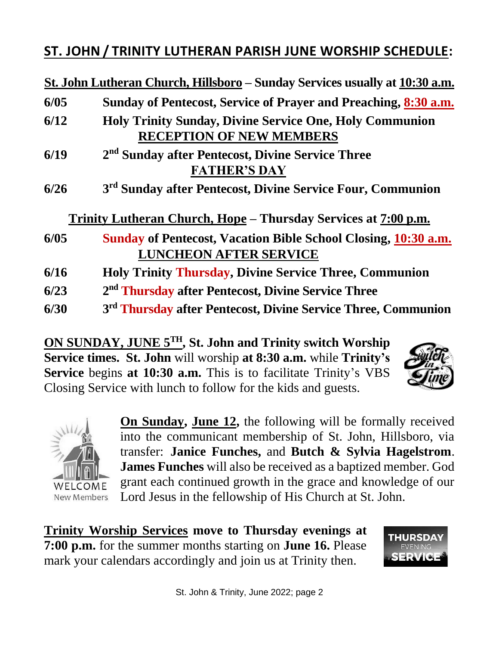## **ST. JOHN / TRINITY LUTHERAN PARISH JUNE WORSHIP SCHEDULE:**

**St. John Lutheran Church, Hillsboro – Sunday Services usually at 10:30 a.m.**

| 6/05 | Sunday of Pentecost, Service of Prayer and Preaching, 8:30 a.m.           |  |
|------|---------------------------------------------------------------------------|--|
| 6/12 | <b>Holy Trinity Sunday, Divine Service One, Holy Communion</b>            |  |
|      | <b>RECEPTION OF NEW MEMBERS</b>                                           |  |
| 6/19 | 2 <sup>nd</sup> Sunday after Pentecost, Divine Service Three              |  |
|      | <b>FATHER'S DAY</b>                                                       |  |
| 6/26 | 3 <sup>rd</sup> Sunday after Pentecost, Divine Service Four, Communion    |  |
|      | Trinity Lutheran Church, Hope – Thursday Services at 7:00 p.m.            |  |
| 6/05 | <b>Sunday of Pentecost, Vacation Bible School Closing, 10:30 a.m.</b>     |  |
|      | <b>LUNCHEON AFTER SERVICE</b>                                             |  |
| 6/16 | <b>Holy Trinity Thursday, Divine Service Three, Communion</b>             |  |
| 6/23 | 2 <sup>nd</sup> Thursday after Pentecost, Divine Service Three            |  |
| 6/30 | 3 <sup>rd</sup> Thursday after Pentecost, Divine Service Three, Communion |  |

**ON SUNDAY, JUNE 5TH , St. John and Trinity switch Worship Service times. St. John** will worship **at 8:30 a.m.** while **Trinity's Service** begins **at 10:30 a.m.** This is to facilitate Trinity's VBS Closing Service with lunch to follow for the kids and guests.





**On Sunday, June 12,** the following will be formally received into the communicant membership of St. John, Hillsboro, via transfer: **Janice Funches,** and **Butch & Sylvia Hagelstrom**. **James Funches** will also be received as a baptized member. God grant each continued growth in the grace and knowledge of our Lord Jesus in the fellowship of His Church at St. John.

**Trinity Worship Services move to Thursday evenings at 7:00 p.m.** for the summer months starting on **June 16.** Please mark your calendars accordingly and join us at Trinity then.

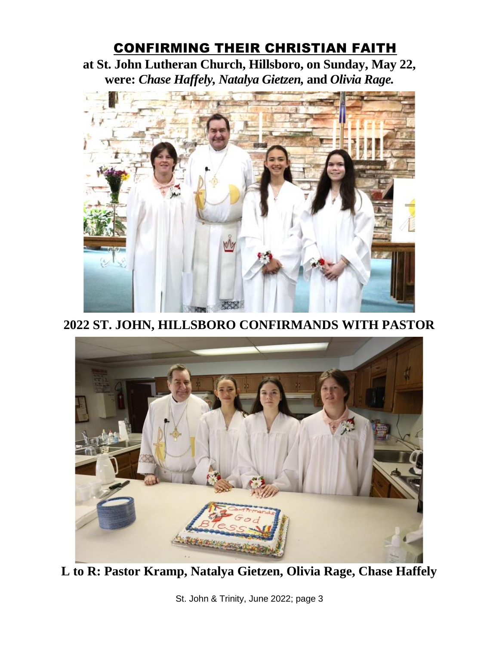## CONFIRMING THEIR CHRISTIAN FAITH

**at St. John Lutheran Church, Hillsboro, on Sunday, May 22, were:** *Chase Haffely, Natalya Gietzen,* **and** *Olivia Rage.*



**2022 ST. JOHN, HILLSBORO CONFIRMANDS WITH PASTOR**



**L to R: Pastor Kramp, Natalya Gietzen, Olivia Rage, Chase Haffely**

St. John & Trinity, June 2022; page 3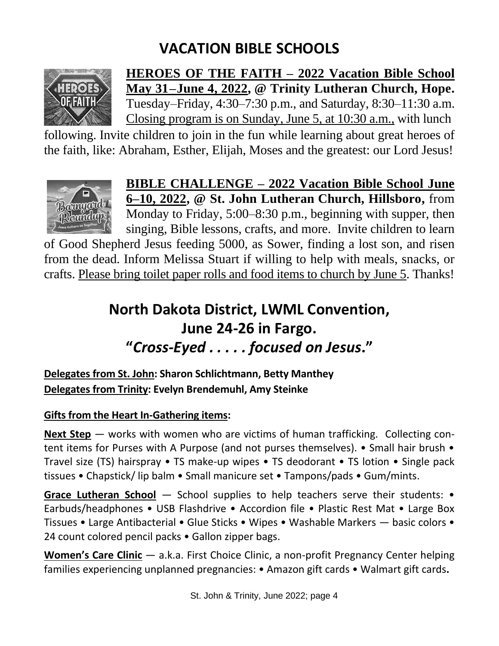# **VACATION BIBLE SCHOOLS**



**HEROES OF THE FAITH – 2022 Vacation Bible School May 31–June 4, 2022, @ Trinity Lutheran Church, Hope.** Tuesday–Friday, 4:30–7:30 p.m., and Saturday, 8:30–11:30 a.m. Closing program is on Sunday, June 5, at 10:30 a.m., with lunch

following. Invite children to join in the fun while learning about great heroes of the faith, like: Abraham, Esther, Elijah, Moses and the greatest: our Lord Jesus!



**BIBLE CHALLENGE – 2022 Vacation Bible School June 6–10, 2022, @ St. John Lutheran Church, Hillsboro,** from Monday to Friday, 5:00–8:30 p.m., beginning with supper, then singing, Bible lessons, crafts, and more. Invite children to learn

of Good Shepherd Jesus feeding 5000, as Sower, finding a lost son, and risen from the dead. Inform Melissa Stuart if willing to help with meals, snacks, or crafts. Please bring toilet paper rolls and food items to church by June 5. Thanks!

# **North Dakota District, LWML Convention, June 24-26 in Fargo. "***Cross-Eyed . . . . . focused on Jesus***."**

**Delegates from St. John: Sharon Schlichtmann, Betty Manthey Delegates from Trinity: Evelyn Brendemuhl, Amy Steinke**

#### **Gifts from the Heart In-Gathering items:**

**Next Step** — works with women who are victims of human trafficking. Collecting content items for Purses with A Purpose (and not purses themselves). • Small hair brush • Travel size (TS) hairspray • TS make-up wipes • TS deodorant • TS lotion • Single pack tissues • Chapstick/ lip balm • Small manicure set • Tampons/pads • Gum/mints.

Grace Lutheran School — School supplies to help teachers serve their students: • Earbuds/headphones • USB Flashdrive • Accordion file • Plastic Rest Mat • Large Box Tissues • Large Antibacterial • Glue Sticks • Wipes • Washable Markers — basic colors • 24 count colored pencil packs • Gallon zipper bags.

**Women's Care Clinic** — a.k.a. First Choice Clinic, a non-profit Pregnancy Center helping families experiencing unplanned pregnancies: • Amazon gift cards • Walmart gift cards**.**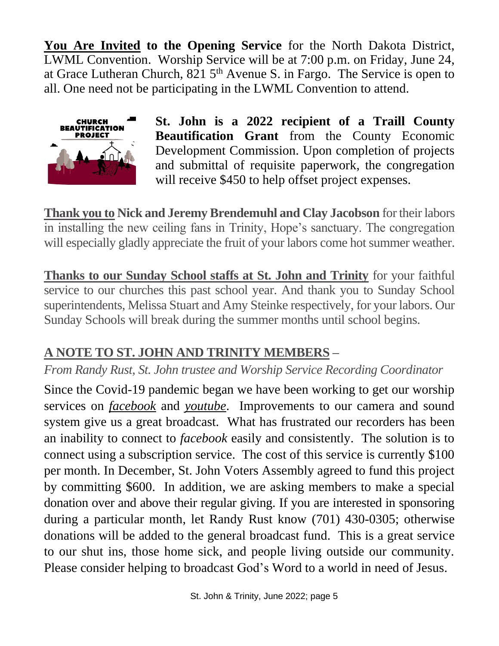**You Are Invited to the Opening Service** for the North Dakota District, LWML Convention. Worship Service will be at 7:00 p.m. on Friday, June 24, at Grace Lutheran Church,  $821\,5^{th}$  Avenue S. in Fargo. The Service is open to all. One need not be participating in the LWML Convention to attend.



**St. John is a 2022 recipient of a Traill County Beautification Grant** from the County Economic Development Commission. Upon completion of projects and submittal of requisite paperwork, the congregation will receive \$450 to help offset project expenses.

**Thank you to Nick and Jeremy Brendemuhl and Clay Jacobson** for their labors in installing the new ceiling fans in Trinity, Hope's sanctuary. The congregation will especially gladly appreciate the fruit of your labors come hot summer weather.

**Thanks to our Sunday School staffs at St. John and Trinity** for your faithful service to our churches this past school year. And thank you to Sunday School superintendents, Melissa Stuart and Amy Steinke respectively, for your labors. Our Sunday Schools will break during the summer months until school begins.

## **A NOTE TO ST. JOHN AND TRINITY MEMBERS –**

### *From Randy Rust, St. John trustee and Worship Service Recording Coordinator*

Since the Covid-19 pandemic began we have been working to get our worship services on *facebook* and *youtube*. Improvements to our camera and sound system give us a great broadcast. What has frustrated our recorders has been an inability to connect to *facebook* easily and consistently. The solution is to connect using a subscription service. The cost of this service is currently \$100 per month. In December, St. John Voters Assembly agreed to fund this project by committing \$600. In addition, we are asking members to make a special donation over and above their regular giving. If you are interested in sponsoring during a particular month, let Randy Rust know (701) 430-0305; otherwise donations will be added to the general broadcast fund. This is a great service to our shut ins, those home sick, and people living outside our community. Please consider helping to broadcast God's Word to a world in need of Jesus.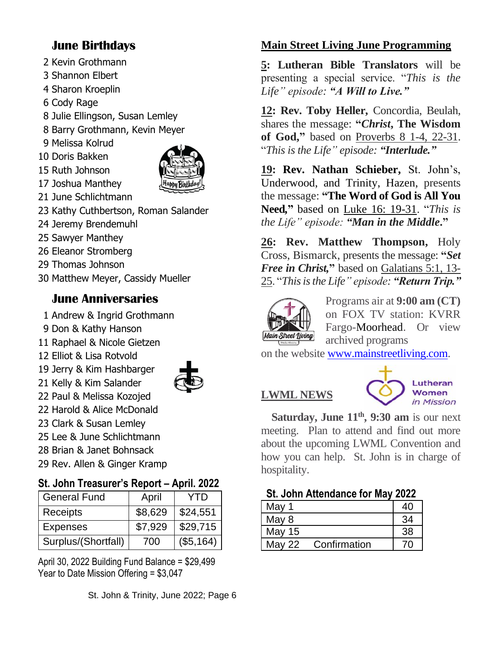#### **June Birthdays**

- 2 Kevin Grothmann
- 3 Shannon Elbert
- 4 Sharon Kroeplin
- 6 Cody Rage
- 8 Julie Ellingson, Susan Lemley
- 8 Barry Grothmann, Kevin Meyer
- 9 Melissa Kolrud
- 10 Doris Bakken 15 Ruth Johnson



- 17 Joshua Manthey 21 June Schlichtmann
- 23 Kathy Cuthbertson, Roman Salander
- 24 Jeremy Brendemuhl
- 25 Sawyer Manthey
- 26 Eleanor Stromberg
- 29 Thomas Johnson
- 30 Matthew Meyer, Cassidy Mueller

#### **June Anniversaries**

- 1 Andrew & Ingrid Grothmann
- 9 Don & Kathy Hanson
- 11 Raphael & Nicole Gietzen
- 12 Elliot & Lisa Rotvold
- 19 Jerry & Kim Hashbarger



- 21 Kelly & Kim Salander 22 Paul & Melissa Kozojed
- 22 Harold & Alice McDonald
- 23 Clark & Susan Lemley
- 25 Lee & June Schlichtmann
- 28 Brian & Janet Bohnsack
- 29 Rev. Allen & Ginger Kramp

#### **St. John Treasurer's Report – April. 2022**

| <b>General Fund</b> | April   | YTD       |
|---------------------|---------|-----------|
| Receipts            | \$8,629 | \$24,551  |
| <b>Expenses</b>     | \$7.929 | \$29,715  |
| Surplus/(Shortfall) | 700     | (\$5,164) |

April 30, 2022 Building Fund Balance = \$29,499 Year to Date Mission Offering = \$3,047

#### **Main Street Living June Programming**

**5: Lutheran Bible Translators** will be presenting a special service. "*This is the Life" episode: "A Will to Live."*

**12: Rev. Toby Heller,** Concordia, Beulah, shares the message: **"***Christ***, The Wisdom of God,"** based on Proverbs 8 1-4, 22-31. "*This is the Life" episode: "Interlude."*

**19: Rev. Nathan Schieber,** St. John's, Underwood, and Trinity, Hazen, presents the message: **"The Word of God is All You Need***,***"** based on Luke 16: 19-31. "*This is the Life" episode: "Man in the Middle***."**

**26: Rev. Matthew Thompson,** Holy Cross, Bismarck, presents the message: **"***Set Free in Christ,***"** based on Galatians 5:1, 13- 25. "*This is the Life" episode: "Return Trip."*



Programs air at **9:00 am (CT)** on FOX TV station: KVRR Fargo-Moorhead. Or view archived programs

on the website [www.mainstreetliving.com.](http://www.mainstreetliving.com/)

# **LWML NEWS**



 **Saturday, June 11th, 9:30 am** is our next meeting. Plan to attend and find out more about the upcoming LWML Convention and how you can help. St. John is in charge of hospitality.

**St. John Attendance for May 2022** 

| May 1         |              | 40 |
|---------------|--------------|----|
| May 8         |              | 34 |
| <b>May 15</b> |              | 38 |
| <b>May 22</b> | Confirmation | 70 |